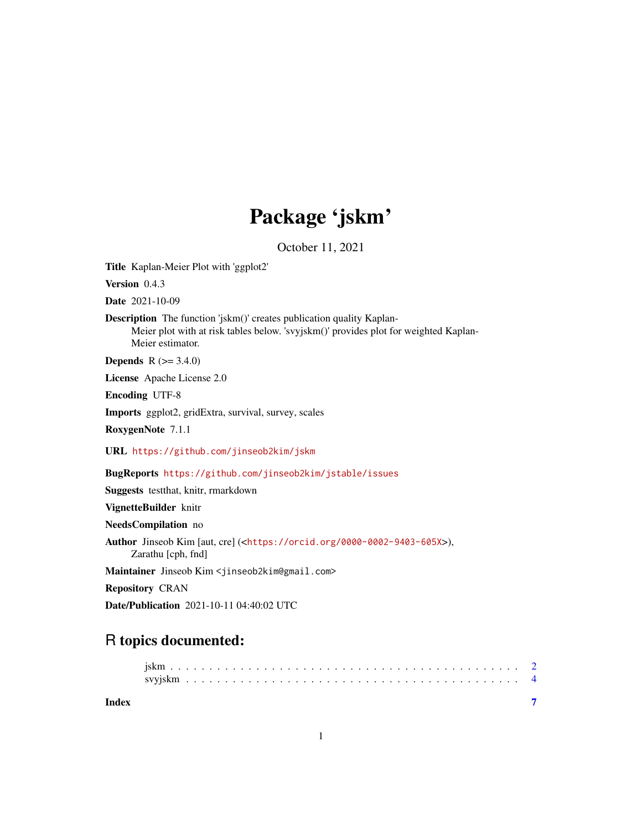## Package 'jskm'

October 11, 2021

Title Kaplan-Meier Plot with 'ggplot2'

Version 0.4.3

Date 2021-10-09

Description The function 'jskm()' creates publication quality Kaplan-Meier plot with at risk tables below. 'svyjskm()' provides plot for weighted Kaplan-Meier estimator.

**Depends** R  $(>= 3.4.0)$ 

License Apache License 2.0

Encoding UTF-8

Imports ggplot2, gridExtra, survival, survey, scales

RoxygenNote 7.1.1

URL <https://github.com/jinseob2kim/jskm>

BugReports <https://github.com/jinseob2kim/jstable/issues>

Suggests testthat, knitr, rmarkdown

VignetteBuilder knitr

NeedsCompilation no

Author Jinseob Kim [aut, cre] (<<https://orcid.org/0000-0002-9403-605X>>),

Zarathu [cph, fnd]

Maintainer Jinseob Kim <jinseob2kim@gmail.com>

Repository CRAN

Date/Publication 2021-10-11 04:40:02 UTC

### R topics documented:

**Index** [7](#page-6-0) **7**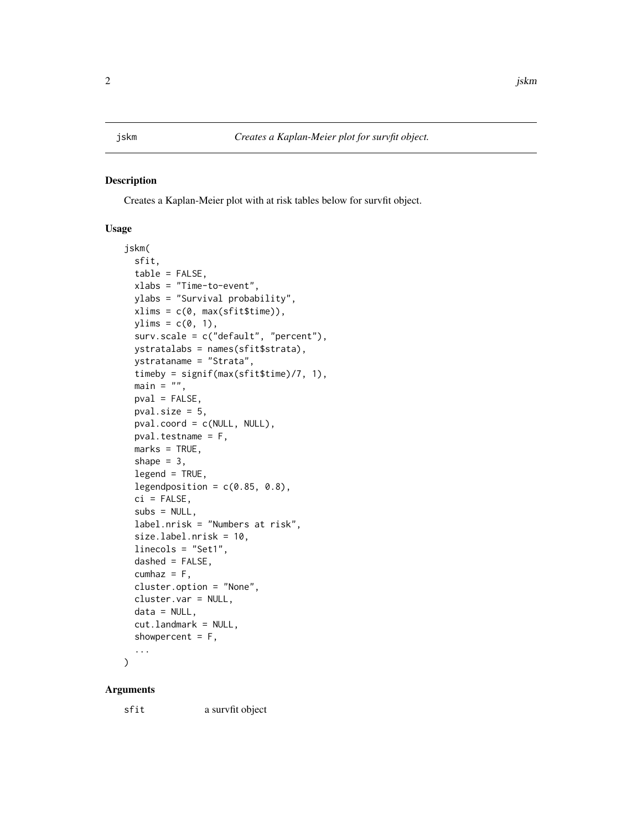#### <span id="page-1-0"></span>Description

Creates a Kaplan-Meier plot with at risk tables below for survfit object.

#### Usage

```
jskm(
  sfit,
  table = FALSE,
 xlabs = "Time-to-event",
 ylabs = "Survival probability",
 xlims = c(0, max(sfit$time)),
 ylims = c(\emptyset, 1),
  surv.scale = c("default", "percent"),
 ystratalabs = names(sfit$strata),
 ystrataname = "Strata",
  timeby = signif(max(sfit$time)/7, 1),
 main = "",pval = FALSE,pval.size = 5,
 pval.coord = c(NULL, NULL),
 pval.testname = F,
 marks = TRUE,
  shape = 3,
  legend = TRUE,
  legendposition = c(0.85, 0.8),
  ci = FALSE,subs = NULL,label.nrisk = "Numbers at risk",
  size.label.nrisk = 10,
  linecols = "Set1",
  dashed = FALSE,cumhaz = F,
  cluster.option = "None",
 cluster.var = NULL,
 data = NULL,cut.landmark = NULL,
  showpercent = F,
  ...
```
)

#### Arguments

sfit a survfit object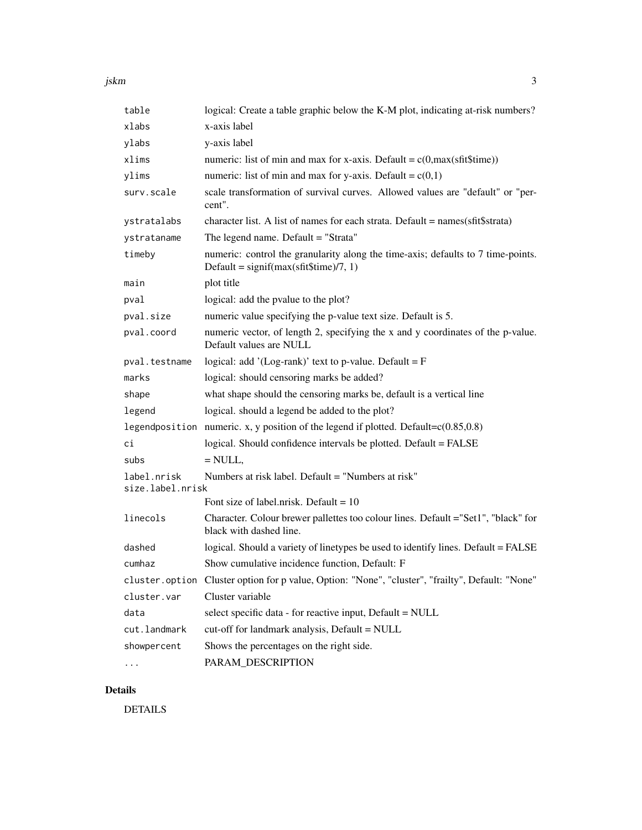jskm 3

| table                           | logical: Create a table graphic below the K-M plot, indicating at-risk numbers?                                             |  |  |
|---------------------------------|-----------------------------------------------------------------------------------------------------------------------------|--|--|
| xlabs                           | x-axis label                                                                                                                |  |  |
| ylabs                           | y-axis label                                                                                                                |  |  |
| xlims                           | numeric: list of min and max for x-axis. Default = $c(0, max(sfit$time))$                                                   |  |  |
| ylims                           | numeric: list of min and max for y-axis. Default = $c(0,1)$                                                                 |  |  |
| surv.scale                      | scale transformation of survival curves. Allowed values are "default" or "per-<br>cent".                                    |  |  |
| ystratalabs                     | character list. A list of names for each strata. Default = $names(sfit$strata)$                                             |  |  |
| ystrataname                     | The legend name. Default = "Strata"                                                                                         |  |  |
| timeby                          | numeric: control the granularity along the time-axis; defaults to 7 time-points.<br>Default = $signif(max(sfit$time)/7, 1)$ |  |  |
| main                            | plot title                                                                                                                  |  |  |
| pval                            | logical: add the pvalue to the plot?                                                                                        |  |  |
| pval.size                       | numeric value specifying the p-value text size. Default is 5.                                                               |  |  |
| pval.coord                      | numeric vector, of length 2, specifying the x and y coordinates of the p-value.<br>Default values are NULL                  |  |  |
| pval.testname                   | logical: add '(Log-rank)' text to p-value. Default = $F$                                                                    |  |  |
| marks                           | logical: should censoring marks be added?                                                                                   |  |  |
| shape                           | what shape should the censoring marks be, default is a vertical line                                                        |  |  |
| legend                          | logical. should a legend be added to the plot?                                                                              |  |  |
|                                 | legendposition numeric. x, y position of the legend if plotted. Default= $c(0.85,0.8)$                                      |  |  |
| сi                              | logical. Should confidence intervals be plotted. Default = FALSE                                                            |  |  |
| subs                            | $=$ NULL,                                                                                                                   |  |  |
| label.nrisk<br>size.label.nrisk | Numbers at risk label. Default = "Numbers at risk"                                                                          |  |  |
|                                 | Font size of label.nrisk. Default = $10$                                                                                    |  |  |
| linecols                        | Character. Colour brewer pallettes too colour lines. Default ="Set1", "black" for<br>black with dashed line.                |  |  |
| dashed                          | logical. Should a variety of linetypes be used to identify lines. Default = FALSE                                           |  |  |
| cumhaz                          | Show cumulative incidence function, Default: F                                                                              |  |  |
|                                 | cluster.option Cluster option for p value, Option: "None", "cluster", "frailty", Default: "None"                            |  |  |
| cluster.var                     | Cluster variable                                                                                                            |  |  |
| data                            | select specific data - for reactive input, Default = NULL                                                                   |  |  |
| cut.landmark                    | cut-off for landmark analysis, Default = NULL                                                                               |  |  |
| showpercent                     | Shows the percentages on the right side.                                                                                    |  |  |
| $\cdots$                        | PARAM_DESCRIPTION                                                                                                           |  |  |

#### Details

DETAILS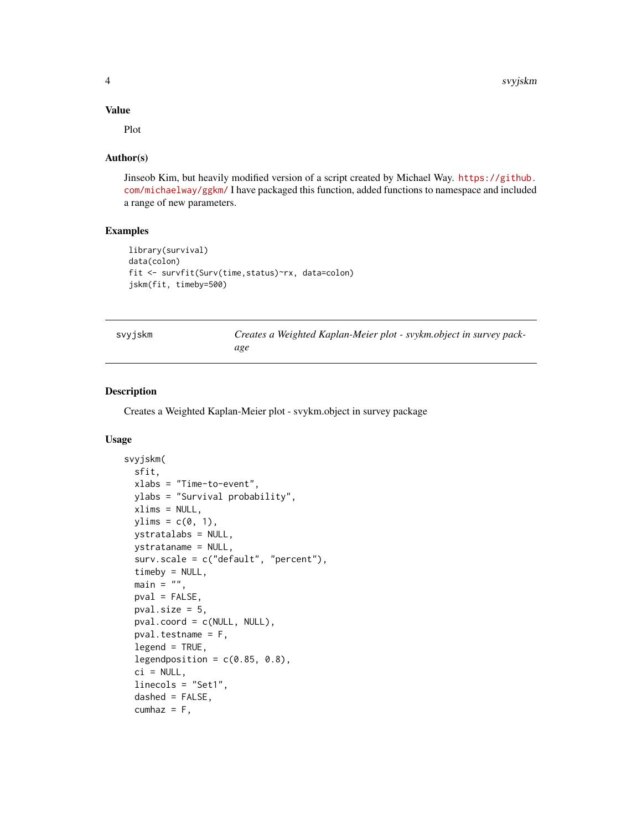#### <span id="page-3-0"></span>Value

Plot

#### Author(s)

Jinseob Kim, but heavily modified version of a script created by Michael Way. [https://github.](https://github.com/michaelway/ggkm/) [com/michaelway/ggkm/](https://github.com/michaelway/ggkm/) I have packaged this function, added functions to namespace and included a range of new parameters.

#### Examples

```
library(survival)
data(colon)
fit <- survfit(Surv(time,status)~rx, data=colon)
jskm(fit, timeby=500)
```

| svyjskm |  |
|---------|--|
|         |  |

n **Creates a Weighted Kaplan-Meier plot - svykm.object in survey pack***age*

#### Description

Creates a Weighted Kaplan-Meier plot - svykm.object in survey package

#### Usage

```
svyjskm(
  sfit,
  xlabs = "Time-to-event",
 ylabs = "Survival probability",
 xlims = NULL,
 ylims = c(\emptyset, 1),
 ystratalabs = NULL,
 ystrataname = NULL,
  surv.scale = c("default", "percent"),
  timeby = NULL,
 main = "",pval = FALSE,pval.size = 5,
 pval.coord = c(NULL, NULL),
 pval.testname = F,
  legend = TRUE,
  legendposition = c(0.85, 0.8),
  ci = NULL,linecols = "Set1",
  dashed = FALSE,cumhaz = F,
```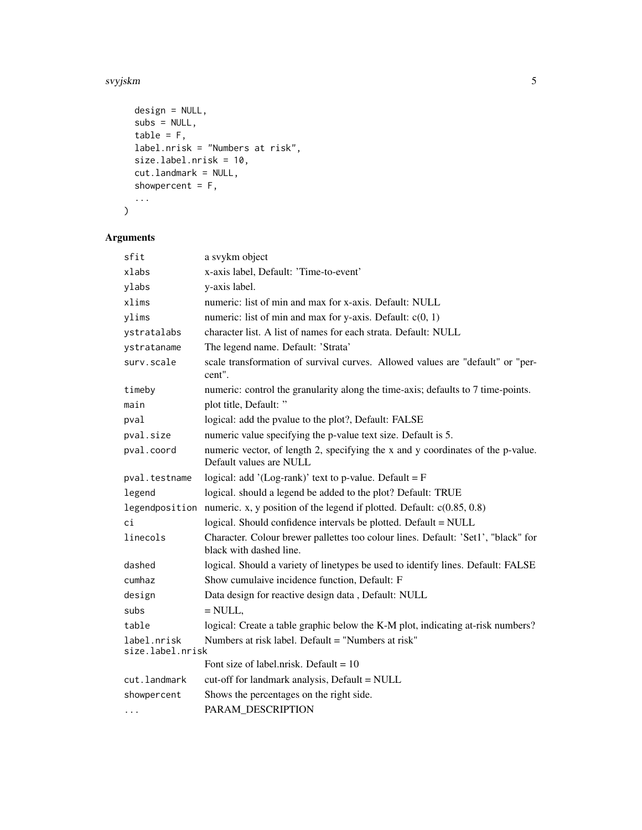#### svyjskm 5

```
design = NULL,
subs = NULL,table = F,label.nrisk = "Numbers at risk",
size.label.nrisk = 10,
cut.landmark = NULL,
showpercent = F,
...
```
#### Arguments

 $\mathcal{L}$ 

| sfit                            | a svykm object                                                                                               |  |  |
|---------------------------------|--------------------------------------------------------------------------------------------------------------|--|--|
| xlabs                           | x-axis label, Default: 'Time-to-event'                                                                       |  |  |
| ylabs                           | y-axis label.                                                                                                |  |  |
| xlims                           | numeric: list of min and max for x-axis. Default: NULL                                                       |  |  |
| ylims                           | numeric: list of min and max for y-axis. Default: $c(0, 1)$                                                  |  |  |
| ystratalabs                     | character list. A list of names for each strata. Default: NULL                                               |  |  |
| ystrataname                     | The legend name. Default: 'Strata'                                                                           |  |  |
| surv.scale                      | scale transformation of survival curves. Allowed values are "default" or "per-<br>cent".                     |  |  |
| timeby                          | numeric: control the granularity along the time-axis; defaults to 7 time-points.                             |  |  |
| main                            | plot title, Default: "                                                                                       |  |  |
| pval                            | logical: add the pvalue to the plot?, Default: FALSE                                                         |  |  |
| pval.size                       | numeric value specifying the p-value text size. Default is 5.                                                |  |  |
| pval.coord                      | numeric vector, of length 2, specifying the x and y coordinates of the p-value.<br>Default values are NULL   |  |  |
| pval.testname                   | logical: add '(Log-rank)' text to p-value. Default = $F$                                                     |  |  |
| legend                          | logical. should a legend be added to the plot? Default: TRUE                                                 |  |  |
| legendposition                  | numeric. x, y position of the legend if plotted. Default: $c(0.85, 0.8)$                                     |  |  |
| сi                              | logical. Should confidence intervals be plotted. Default = NULL                                              |  |  |
| linecols                        | Character. Colour brewer pallettes too colour lines. Default: 'Set1', "black" for<br>black with dashed line. |  |  |
| dashed                          | logical. Should a variety of linetypes be used to identify lines. Default: FALSE                             |  |  |
| cumhaz                          | Show cumulaive incidence function, Default: F                                                                |  |  |
| design                          | Data design for reactive design data, Default: NULL                                                          |  |  |
| subs                            | $=$ NULL,                                                                                                    |  |  |
| table                           | logical: Create a table graphic below the K-M plot, indicating at-risk numbers?                              |  |  |
| label.nrisk<br>size.label.nrisk | Numbers at risk label. Default = "Numbers at risk"                                                           |  |  |
|                                 | Font size of label.nrisk. Default = $10$                                                                     |  |  |
| cut.landmark                    | cut-off for landmark analysis, Default = NULL                                                                |  |  |
| showpercent                     | Shows the percentages on the right side.                                                                     |  |  |
| $\cdots$                        | PARAM DESCRIPTION                                                                                            |  |  |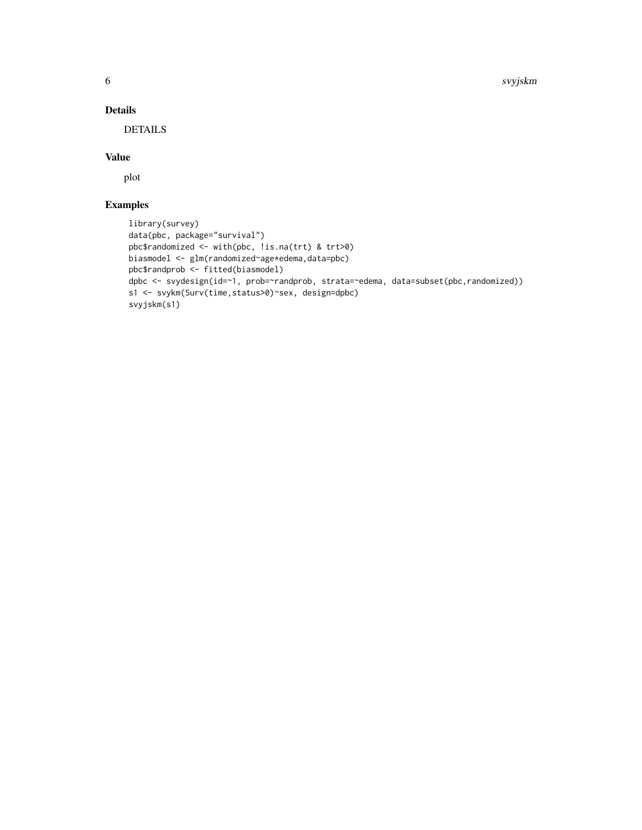#### Details

DETAILS

#### Value

plot

#### Examples

```
library(survey)
data(pbc, package="survival")
pbc$randomized <- with(pbc, !is.na(trt) & trt>0)
biasmodel <- glm(randomized~age*edema,data=pbc)
pbc$randprob <- fitted(biasmodel)
dpbc <- svydesign(id=~1, prob=~randprob, strata=~edema, data=subset(pbc,randomized))
s1 <- svykm(Surv(time,status>0)~sex, design=dpbc)
svyjskm(s1)
```